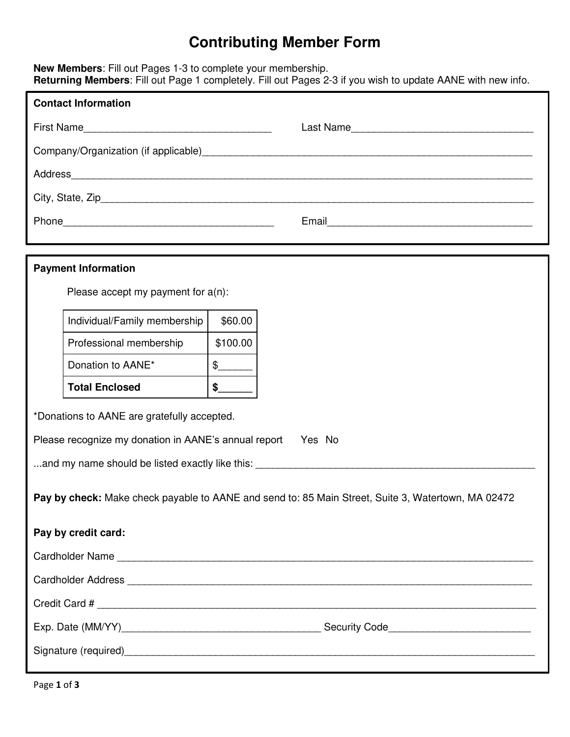## **Contributing Member Form**

**New Members**: Fill out Pages 1-3 to complete your membership. **Returning Members**: Fill out Page 1 completely. Fill out Pages 2-3 if you wish to update AANE with new info.

| <b>Contact Information</b>                                                                         |                                                                                                                                                                                                                                |  |  |  |  |
|----------------------------------------------------------------------------------------------------|--------------------------------------------------------------------------------------------------------------------------------------------------------------------------------------------------------------------------------|--|--|--|--|
|                                                                                                    | Last Name                                                                                                                                                                                                                      |  |  |  |  |
|                                                                                                    |                                                                                                                                                                                                                                |  |  |  |  |
|                                                                                                    | Address Address Address Address Address Address Address Address Address Address Address Address Address Address Address Address Address Address Address Address Address Address Address Address Address Address Address Addres |  |  |  |  |
|                                                                                                    |                                                                                                                                                                                                                                |  |  |  |  |
|                                                                                                    |                                                                                                                                                                                                                                |  |  |  |  |
|                                                                                                    |                                                                                                                                                                                                                                |  |  |  |  |
| <b>Payment Information</b>                                                                         |                                                                                                                                                                                                                                |  |  |  |  |
| Please accept my payment for $a(n)$ :                                                              |                                                                                                                                                                                                                                |  |  |  |  |
| Individual/Family membership                                                                       | \$60.00                                                                                                                                                                                                                        |  |  |  |  |
| Professional membership                                                                            | \$100.00                                                                                                                                                                                                                       |  |  |  |  |
| Donation to AANE*                                                                                  | $\frac{1}{2}$                                                                                                                                                                                                                  |  |  |  |  |
| <b>Total Enclosed</b>                                                                              | $\frac{1}{2}$                                                                                                                                                                                                                  |  |  |  |  |
| *Donations to AANE are gratefully accepted.                                                        |                                                                                                                                                                                                                                |  |  |  |  |
|                                                                                                    | Please recognize my donation in AANE's annual report Yes No                                                                                                                                                                    |  |  |  |  |
|                                                                                                    |                                                                                                                                                                                                                                |  |  |  |  |
| Pay by check: Make check payable to AANE and send to: 85 Main Street, Suite 3, Watertown, MA 02472 |                                                                                                                                                                                                                                |  |  |  |  |
| Pay by credit card:                                                                                |                                                                                                                                                                                                                                |  |  |  |  |
|                                                                                                    |                                                                                                                                                                                                                                |  |  |  |  |
|                                                                                                    |                                                                                                                                                                                                                                |  |  |  |  |
|                                                                                                    |                                                                                                                                                                                                                                |  |  |  |  |
|                                                                                                    |                                                                                                                                                                                                                                |  |  |  |  |
|                                                                                                    |                                                                                                                                                                                                                                |  |  |  |  |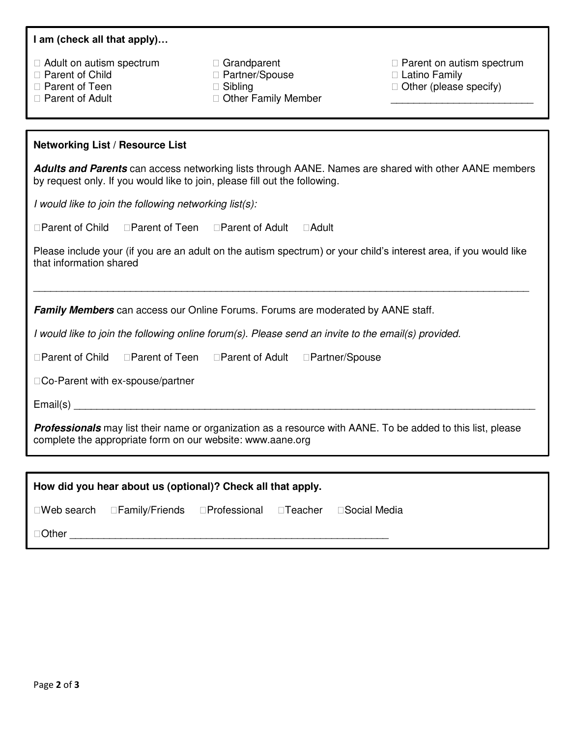#### **I am (check all that apply)…**

| $\Box$ Adult on autism spectrum |
|---------------------------------|
|---------------------------------|

- □ Parent of Child
- □ Parent of Teen
- □ Parent of Adult
- Grandparent
- □ Partner/Spouse
- □ Sibling
- □ Other Family Member

 $\Box$  Parent on autism spectrum

- □ Latino Family
- $\Box$  Other (please specify) \_\_\_\_\_\_\_\_\_\_\_\_\_\_\_\_\_\_\_\_\_\_\_\_\_

#### **Networking List / Resource List**

*Adults and Parents* can access networking lists through AANE. Names are shared with other AANE members by request only. If you would like to join, please fill out the following.

*I would like to join the following networking list(s):*

| □Parent of Child | □Parent of Teen | □ Parent of Adult | $\Box$ Adult |
|------------------|-----------------|-------------------|--------------|
|                  |                 |                   |              |

Please include your (if you are an adult on the autism spectrum) or your child's interest area, if you would like that information shared

\_\_\_\_\_\_\_\_\_\_\_\_\_\_\_\_\_\_\_\_\_\_\_\_\_\_\_\_\_\_\_\_\_\_\_\_\_\_\_\_\_\_\_\_\_\_\_\_\_\_\_\_\_\_\_\_\_\_\_\_\_\_\_\_\_\_\_\_\_\_\_\_\_\_\_\_\_\_\_\_\_\_\_\_\_\_\_

**Family Members** can access our Online Forums. Forums are moderated by AANE staff.

*I would like to join the following online forum(s). Please send an invite to the email(s) provided.*

| □ Parent of Child | □Parent of Teen | □ Parent of Adult | □Partner/Spouse |
|-------------------|-----------------|-------------------|-----------------|
|                   |                 |                   |                 |

□Co-Parent with ex-spouse/partner

Email(s) \_\_\_\_\_\_\_\_\_\_\_\_\_\_\_\_\_\_\_\_\_\_\_\_\_\_\_\_\_\_\_\_\_\_\_\_\_\_\_\_\_\_\_\_\_\_\_\_\_\_\_\_\_\_\_\_\_\_\_\_\_\_\_\_\_\_\_\_\_\_\_\_\_\_\_\_\_\_\_\_\_

*Professionals* may list their name or organization as a resource with AANE. To be added to this list, please complete the appropriate form on our website: www.aane.org

|        | How did you hear about us (optional)? Check all that apply.                                                   |  |  |
|--------|---------------------------------------------------------------------------------------------------------------|--|--|
|        | $\square$ Web search $\square$ Family/Friends $\square$ Professional $\square$ Teacher $\square$ Social Media |  |  |
| □Other |                                                                                                               |  |  |